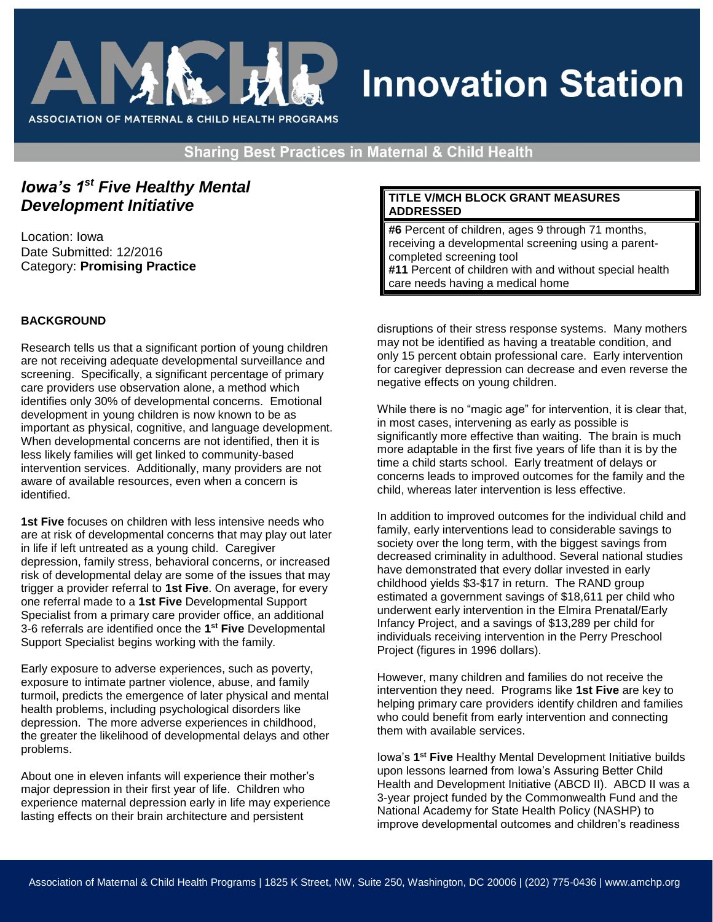

# **Innovation Station**

**Sharing Best Practices in Maternal & Child Health** 

# *Iowa's 1st Five Healthy Mental Development Initiative*

Location: Iowa Date Submitted: 12/2016 Category: **Promising Practice** 

# **BACKGROUND**

Research tells us that a significant portion of young children are not receiving adequate developmental surveillance and screening. Specifically, a significant percentage of primary care providers use observation alone, a method which identifies only 30% of developmental concerns. Emotional development in young children is now known to be as important as physical, cognitive, and language development. When developmental concerns are not identified, then it is less likely families will get linked to community-based intervention services. Additionally, many providers are not aware of available resources, even when a concern is identified.

**1st Five** focuses on children with less intensive needs who are at risk of developmental concerns that may play out later in life if left untreated as a young child. Caregiver depression, family stress, behavioral concerns, or increased risk of developmental delay are some of the issues that may trigger a provider referral to **1st Five**. On average, for every one referral made to a **1st Five** Developmental Support Specialist from a primary care provider office, an additional 3-6 referrals are identified once the **1 st Five** Developmental Support Specialist begins working with the family.

Early exposure to adverse experiences, such as poverty, exposure to intimate partner violence, abuse, and family turmoil, predicts the emergence of later physical and mental health problems, including psychological disorders like depression. The more adverse experiences in childhood, the greater the likelihood of developmental delays and other problems.

About one in eleven infants will experience their mother's major depression in their first year of life. Children who experience maternal depression early in life may experience lasting effects on their brain architecture and persistent

## **TITLE V/MCH BLOCK GRANT MEASURES ADDRESSED**

**#6** Percent of children, ages 9 through 71 months, receiving a developmental screening using a parentcompleted screening tool **#11** Percent of children with and without special health care needs having a medical home

disruptions of their stress response systems. Many mothers may not be identified as having a treatable condition, and only 15 percent obtain professional care. Early intervention for caregiver depression can decrease and even reverse the negative effects on young children.

While there is no "magic age" for intervention, it is clear that, in most cases, intervening as early as possible is significantly more effective than waiting. The brain is much more adaptable in the first five years of life than it is by the time a child starts school. Early treatment of delays or concerns leads to improved outcomes for the family and the child, whereas later intervention is less effective.

In addition to improved outcomes for the individual child and family, early interventions lead to considerable savings to society over the long term, with the biggest savings from decreased criminality in adulthood. Several national studies have demonstrated that every dollar invested in early childhood yields \$3-\$17 in return. The RAND group estimated a government savings of \$18,611 per child who underwent early intervention in the Elmira Prenatal/Early Infancy Project, and a savings of \$13,289 per child for individuals receiving intervention in the Perry Preschool Project (figures in 1996 dollars).

However, many children and families do not receive the intervention they need. Programs like **1st Five** are key to helping primary care providers identify children and families who could benefit from early intervention and connecting them with available services.

Iowa's 1<sup>st</sup> Five Healthy Mental Development Initiative builds upon lessons learned from Iowa's Assuring Better Child Health and Development Initiative (ABCD II). ABCD II was a 3-year project funded by the Commonwealth Fund and the National Academy for State Health Policy (NASHP) to improve developmental outcomes and children's readiness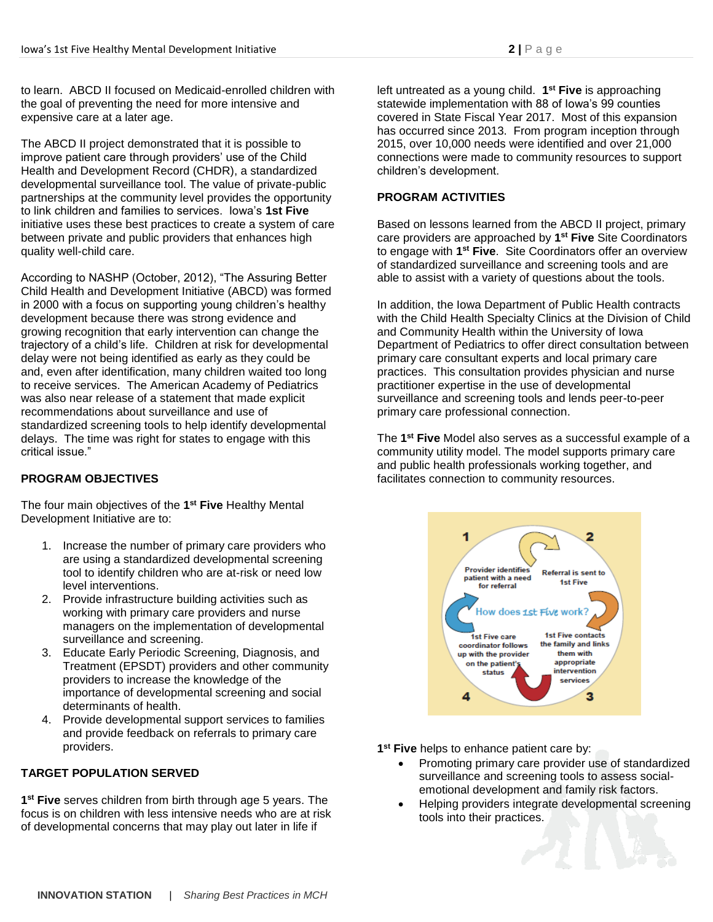to learn. ABCD II focused on Medicaid-enrolled children with the goal of preventing the need for more intensive and expensive care at a later age.

The ABCD II project demonstrated that it is possible to improve patient care through providers' use of the Child Health and Development Record (CHDR), a standardized developmental surveillance tool. The value of private-public partnerships at the community level provides the opportunity to link children and families to services. Iowa's **1st Five** initiative uses these best practices to create a system of care between private and public providers that enhances high quality well-child care.

According to NASHP (October, 2012), "The Assuring Better Child Health and Development Initiative (ABCD) was formed in 2000 with a focus on supporting young children's healthy development because there was strong evidence and growing recognition that early intervention can change the trajectory of a child's life. Children at risk for developmental delay were not being identified as early as they could be and, even after identification, many children waited too long to receive services. The American Academy of Pediatrics was also near release of a statement that made explicit recommendations about surveillance and use of standardized screening tools to help identify developmental delays. The time was right for states to engage with this critical issue."

## **PROGRAM OBJECTIVES**

The four main objectives of the **1 st Five** Healthy Mental Development Initiative are to:

- 1. Increase the number of primary care providers who are using a standardized developmental screening tool to identify children who are at-risk or need low level interventions.
- 2. Provide infrastructure building activities such as working with primary care providers and nurse managers on the implementation of developmental surveillance and screening.
- 3. Educate Early Periodic Screening, Diagnosis, and Treatment (EPSDT) providers and other community providers to increase the knowledge of the importance of developmental screening and social determinants of health.
- 4. Provide developmental support services to families and provide feedback on referrals to primary care providers.

## **TARGET POPULATION SERVED**

**1 st Five** serves children from birth through age 5 years. The focus is on children with less intensive needs who are at risk of developmental concerns that may play out later in life if

left untreated as a young child. **1 st Five** is approaching statewide implementation with 88 of Iowa's 99 counties covered in State Fiscal Year 2017. Most of this expansion has occurred since 2013. From program inception through 2015, over 10,000 needs were identified and over 21,000 connections were made to community resources to support children's development.

#### **PROGRAM ACTIVITIES**

Based on lessons learned from the ABCD II project, primary care providers are approached by **1 st Five** Site Coordinators to engage with **1 st Five**. Site Coordinators offer an overview of standardized surveillance and screening tools and are able to assist with a variety of questions about the tools.

In addition, the Iowa Department of Public Health contracts with the Child Health Specialty Clinics at the Division of Child and Community Health within the University of Iowa Department of Pediatrics to offer direct consultation between primary care consultant experts and local primary care practices. This consultation provides physician and nurse practitioner expertise in the use of developmental surveillance and screening tools and lends peer-to-peer primary care professional connection.

The **1 st Five** Model also serves as a successful example of a community utility model. The model supports primary care and public health professionals working together, and facilitates connection to community resources.



**1 st Five** helps to enhance patient care by:

- Promoting primary care provider use of standardized surveillance and screening tools to assess socialemotional development and family risk factors.
- Helping providers integrate developmental screening tools into their practices.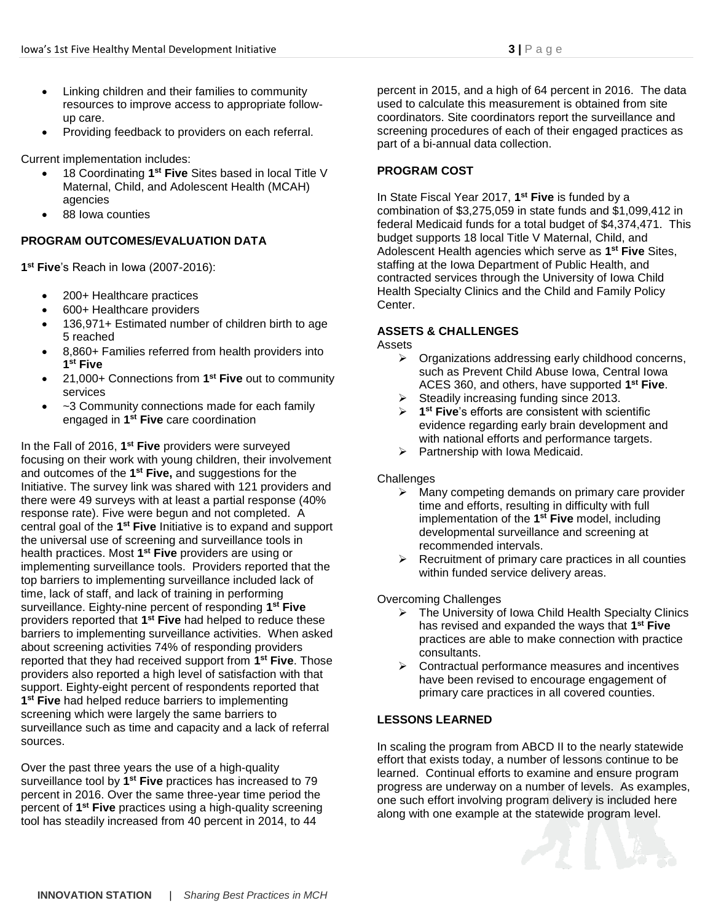- Linking children and their families to community resources to improve access to appropriate followup care.
- Providing feedback to providers on each referral.

Current implementation includes:

- **18 Coordinating 1<sup>st</sup> Five** Sites based in local Title V Maternal, Child, and Adolescent Health (MCAH) agencies
- 88 Iowa counties

# **PROGRAM OUTCOMES/EVALUATION DATA**

**1 st Five**'s Reach in Iowa (2007-2016):

- 200+ Healthcare practices
- 600+ Healthcare providers
- 136,971+ Estimated number of children birth to age 5 reached
- 8,860+ Families referred from health providers into **1 st Five**
- 21,000+ Connections from **1 st Five** out to community services
- ~3 Community connections made for each family engaged in **1 st Five** care coordination

In the Fall of 2016, 1<sup>st</sup> Five providers were surveyed focusing on their work with young children, their involvement and outcomes of the **1 st Five,** and suggestions for the Initiative. The survey link was shared with 121 providers and there were 49 surveys with at least a partial response (40% response rate). Five were begun and not completed. A central goal of the **1 st Five** Initiative is to expand and support the universal use of screening and surveillance tools in health practices. Most **1 st Five** providers are using or implementing surveillance tools. Providers reported that the top barriers to implementing surveillance included lack of time, lack of staff, and lack of training in performing surveillance. Eighty-nine percent of responding **1 st Five** providers reported that **1 st Five** had helped to reduce these barriers to implementing surveillance activities. When asked about screening activities 74% of responding providers reported that they had received support from **1 st Five**. Those providers also reported a high level of satisfaction with that support. Eighty-eight percent of respondents reported that **1 st Five** had helped reduce barriers to implementing screening which were largely the same barriers to surveillance such as time and capacity and a lack of referral sources.

Over the past three years the use of a high-quality surveillance tool by 1<sup>st</sup> Five practices has increased to 79 percent in 2016. Over the same three-year time period the percent of **1 st Five** practices using a high-quality screening tool has steadily increased from 40 percent in 2014, to 44

percent in 2015, and a high of 64 percent in 2016. The data used to calculate this measurement is obtained from site coordinators. Site coordinators report the surveillance and screening procedures of each of their engaged practices as part of a bi-annual data collection.

# **PROGRAM COST**

In State Fiscal Year 2017, **1 st Five** is funded by a combination of \$3,275,059 in state funds and \$1,099,412 in federal Medicaid funds for a total budget of \$4,374,471. This budget supports 18 local Title V Maternal, Child, and Adolescent Health agencies which serve as **1 st Five** Sites, staffing at the Iowa Department of Public Health, and contracted services through the University of Iowa Child Health Specialty Clinics and the Child and Family Policy Center.

## **ASSETS & CHALLENGES**

Assets

- $\triangleright$  Organizations addressing early childhood concerns, such as Prevent Child Abuse Iowa, Central Iowa ACES 360, and others, have supported **1 st Five**.
- $\triangleright$  Steadily increasing funding since 2013.
- **1 st Five**'s efforts are consistent with scientific evidence regarding early brain development and with national efforts and performance targets.
- $\triangleright$  Partnership with Iowa Medicaid.

## **Challenges**

- $\triangleright$  Many competing demands on primary care provider time and efforts, resulting in difficulty with full implementation of the **1 st Five** model, including developmental surveillance and screening at recommended intervals.
- $\triangleright$  Recruitment of primary care practices in all counties within funded service delivery areas.

Overcoming Challenges

- ▶ The University of Iowa Child Health Specialty Clinics has revised and expanded the ways that **1 st Five** practices are able to make connection with practice consultants.
- $\triangleright$  Contractual performance measures and incentives have been revised to encourage engagement of primary care practices in all covered counties.

## **LESSONS LEARNED**

In scaling the program from ABCD II to the nearly statewide effort that exists today, a number of lessons continue to be learned. Continual efforts to examine and ensure program progress are underway on a number of levels. As examples, one such effort involving program delivery is included here along with one example at the statewide program level.